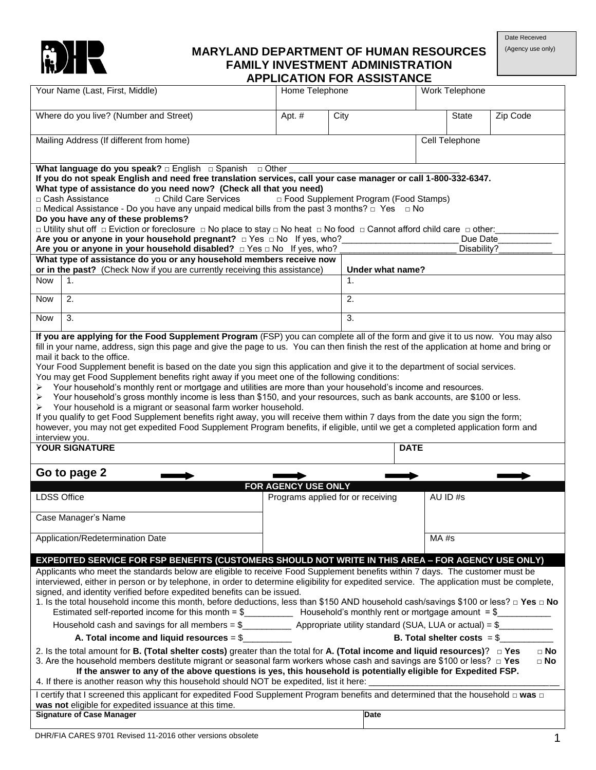

# **MARYLAND DEPARTMENT OF HUMAN RESOURCES FAMILY INVESTMENT ADMINISTRATION**

Date Received

| (Agency use only) |  |  |
|-------------------|--|--|
|-------------------|--|--|

|                    |                                                                                                                                                                                                                                                                                                                                                                                                                                                                                                                                                                                                                                                                                                                                                                                                                                                                                                                                                                                                                                                                                                                                                                                                                                                                                                                                                                                                                                                                                        |                     |      | <b>APPLICATION FOR ASSISTANCE</b>       |             |                              |                        |
|--------------------|----------------------------------------------------------------------------------------------------------------------------------------------------------------------------------------------------------------------------------------------------------------------------------------------------------------------------------------------------------------------------------------------------------------------------------------------------------------------------------------------------------------------------------------------------------------------------------------------------------------------------------------------------------------------------------------------------------------------------------------------------------------------------------------------------------------------------------------------------------------------------------------------------------------------------------------------------------------------------------------------------------------------------------------------------------------------------------------------------------------------------------------------------------------------------------------------------------------------------------------------------------------------------------------------------------------------------------------------------------------------------------------------------------------------------------------------------------------------------------------|---------------------|------|-----------------------------------------|-------------|------------------------------|------------------------|
|                    | Your Name (Last, First, Middle)                                                                                                                                                                                                                                                                                                                                                                                                                                                                                                                                                                                                                                                                                                                                                                                                                                                                                                                                                                                                                                                                                                                                                                                                                                                                                                                                                                                                                                                        | Home Telephone      |      |                                         |             | Work Telephone               |                        |
|                    | Where do you live? (Number and Street)                                                                                                                                                                                                                                                                                                                                                                                                                                                                                                                                                                                                                                                                                                                                                                                                                                                                                                                                                                                                                                                                                                                                                                                                                                                                                                                                                                                                                                                 | Apt. $#$            | City |                                         |             | <b>State</b>                 | Zip Code               |
|                    | Mailing Address (If different from home)                                                                                                                                                                                                                                                                                                                                                                                                                                                                                                                                                                                                                                                                                                                                                                                                                                                                                                                                                                                                                                                                                                                                                                                                                                                                                                                                                                                                                                               |                     |      |                                         |             | Cell Telephone               |                        |
|                    | What language do you speak? $\Box$ English $\Box$ Spanish $\Box$ Other                                                                                                                                                                                                                                                                                                                                                                                                                                                                                                                                                                                                                                                                                                                                                                                                                                                                                                                                                                                                                                                                                                                                                                                                                                                                                                                                                                                                                 |                     |      |                                         |             |                              |                        |
|                    | If you do not speak English and need free translation services, call your case manager or call 1-800-332-6347.                                                                                                                                                                                                                                                                                                                                                                                                                                                                                                                                                                                                                                                                                                                                                                                                                                                                                                                                                                                                                                                                                                                                                                                                                                                                                                                                                                         |                     |      |                                         |             |                              |                        |
|                    | What type of assistance do you need now? (Check all that you need)<br>□ Child Care Services<br>□ Cash Assistance                                                                                                                                                                                                                                                                                                                                                                                                                                                                                                                                                                                                                                                                                                                                                                                                                                                                                                                                                                                                                                                                                                                                                                                                                                                                                                                                                                       |                     |      | □ Food Supplement Program (Food Stamps) |             |                              |                        |
|                    | $\Box$ Medical Assistance - Do you have any unpaid medical bills from the past 3 months? $\Box$ Yes $\Box$ No                                                                                                                                                                                                                                                                                                                                                                                                                                                                                                                                                                                                                                                                                                                                                                                                                                                                                                                                                                                                                                                                                                                                                                                                                                                                                                                                                                          |                     |      |                                         |             |                              |                        |
|                    | Do you have any of these problems?<br>□ Utility shut off □ Eviction or foreclosure □ No place to stay □ No heat □ No food □ Cannot afford child care □ other:                                                                                                                                                                                                                                                                                                                                                                                                                                                                                                                                                                                                                                                                                                                                                                                                                                                                                                                                                                                                                                                                                                                                                                                                                                                                                                                          |                     |      |                                         |             |                              |                        |
|                    | Are you or anyone in your household pregnant? $\Box$ Yes $\Box$ No If yes, who?                                                                                                                                                                                                                                                                                                                                                                                                                                                                                                                                                                                                                                                                                                                                                                                                                                                                                                                                                                                                                                                                                                                                                                                                                                                                                                                                                                                                        |                     |      |                                         |             | Due Date                     |                        |
|                    | Are you or anyone in your household disabled? $\Box$ Yes $\Box$ No If yes, who?                                                                                                                                                                                                                                                                                                                                                                                                                                                                                                                                                                                                                                                                                                                                                                                                                                                                                                                                                                                                                                                                                                                                                                                                                                                                                                                                                                                                        |                     |      |                                         |             | Disability?                  |                        |
|                    | What type of assistance do you or any household members receive now<br>or in the past? (Check Now if you are currently receiving this assistance)                                                                                                                                                                                                                                                                                                                                                                                                                                                                                                                                                                                                                                                                                                                                                                                                                                                                                                                                                                                                                                                                                                                                                                                                                                                                                                                                      |                     |      | Under what name?                        |             |                              |                        |
| <b>Now</b>         | 1.                                                                                                                                                                                                                                                                                                                                                                                                                                                                                                                                                                                                                                                                                                                                                                                                                                                                                                                                                                                                                                                                                                                                                                                                                                                                                                                                                                                                                                                                                     |                     |      | 1.                                      |             |                              |                        |
|                    |                                                                                                                                                                                                                                                                                                                                                                                                                                                                                                                                                                                                                                                                                                                                                                                                                                                                                                                                                                                                                                                                                                                                                                                                                                                                                                                                                                                                                                                                                        |                     |      |                                         |             |                              |                        |
| <b>Now</b>         | 2.                                                                                                                                                                                                                                                                                                                                                                                                                                                                                                                                                                                                                                                                                                                                                                                                                                                                                                                                                                                                                                                                                                                                                                                                                                                                                                                                                                                                                                                                                     |                     |      | 2.                                      |             |                              |                        |
| Now                | 3.                                                                                                                                                                                                                                                                                                                                                                                                                                                                                                                                                                                                                                                                                                                                                                                                                                                                                                                                                                                                                                                                                                                                                                                                                                                                                                                                                                                                                                                                                     |                     |      | 3.                                      |             |                              |                        |
| ➤<br>≻<br>➤        | fill in your name, address, sign this page and give the page to us. You can then finish the rest of the application at home and bring or<br>mail it back to the office.<br>Your Food Supplement benefit is based on the date you sign this application and give it to the department of social services.<br>You may get Food Supplement benefits right away if you meet one of the following conditions:<br>Your household's monthly rent or mortgage and utilities are more than your household's income and resources.<br>Your household's gross monthly income is less than \$150, and your resources, such as bank accounts, are \$100 or less.<br>Your household is a migrant or seasonal farm worker household.<br>If you qualify to get Food Supplement benefits right away, you will receive them within 7 days from the date you sign the form;<br>however, you may not get expedited Food Supplement Program benefits, if eligible, until we get a completed application form and<br>interview you.<br><b>YOUR SIGNATURE</b><br>Go to page 2                                                                                                                                                                                                                                                                                                                                                                                                                                 | FOR AGENCY USE ONLY |      |                                         | <b>DATE</b> |                              |                        |
| <b>LDSS Office</b> |                                                                                                                                                                                                                                                                                                                                                                                                                                                                                                                                                                                                                                                                                                                                                                                                                                                                                                                                                                                                                                                                                                                                                                                                                                                                                                                                                                                                                                                                                        |                     |      | Programs applied for or receiving       |             | AU ID#s                      |                        |
|                    | Case Manager's Name                                                                                                                                                                                                                                                                                                                                                                                                                                                                                                                                                                                                                                                                                                                                                                                                                                                                                                                                                                                                                                                                                                                                                                                                                                                                                                                                                                                                                                                                    |                     |      |                                         |             |                              |                        |
|                    | Application/Redetermination Date                                                                                                                                                                                                                                                                                                                                                                                                                                                                                                                                                                                                                                                                                                                                                                                                                                                                                                                                                                                                                                                                                                                                                                                                                                                                                                                                                                                                                                                       |                     |      |                                         | MA#s        |                              |                        |
|                    | EXPEDITED SERVICE FOR FSP BENEFITS (CUSTOMERS SHOULD NOT WRITE IN THIS AREA - FOR AGENCY USE ONLY)<br>Applicants who meet the standards below are eligible to receive Food Supplement benefits within 7 days. The customer must be<br>interviewed, either in person or by telephone, in order to determine eligibility for expedited service. The application must be complete,<br>signed, and identity verified before expedited benefits can be issued.<br>1. Is the total household income this month, before deductions, less than \$150 AND household cash/savings \$100 or less? □ Yes □ No<br>Household cash and savings for all members = $\frac{1}{2}$ Appropriate utility standard (SUA, LUA or actual) = $\frac{1}{2}$<br>A. Total income and liquid resources $=$ \$<br>2. Is the total amount for B. (Total shelter costs) greater than the total for A. (Total income and liquid resources)? $\Box$ Yes<br>3. Are the household members destitute migrant or seasonal farm workers whose cash and savings are \$100 or less? $\Box$ Yes<br>If the answer to any of the above questions is yes, this household is potentially eligible for Expedited FSP.<br>4. If there is another reason why this household should NOT be expedited, list it here: ______________________<br>I certify that I screened this applicant for expedited Food Supplement Program benefits and determined that the household □ was □<br>was not eligible for expedited issuance at this time. |                     |      |                                         |             | B. Total shelter costs $= $$ | $\Box$ No<br>$\Box$ No |
|                    | <b>Signature of Case Manager</b>                                                                                                                                                                                                                                                                                                                                                                                                                                                                                                                                                                                                                                                                                                                                                                                                                                                                                                                                                                                                                                                                                                                                                                                                                                                                                                                                                                                                                                                       |                     |      | Date                                    |             |                              |                        |
|                    |                                                                                                                                                                                                                                                                                                                                                                                                                                                                                                                                                                                                                                                                                                                                                                                                                                                                                                                                                                                                                                                                                                                                                                                                                                                                                                                                                                                                                                                                                        |                     |      |                                         |             |                              |                        |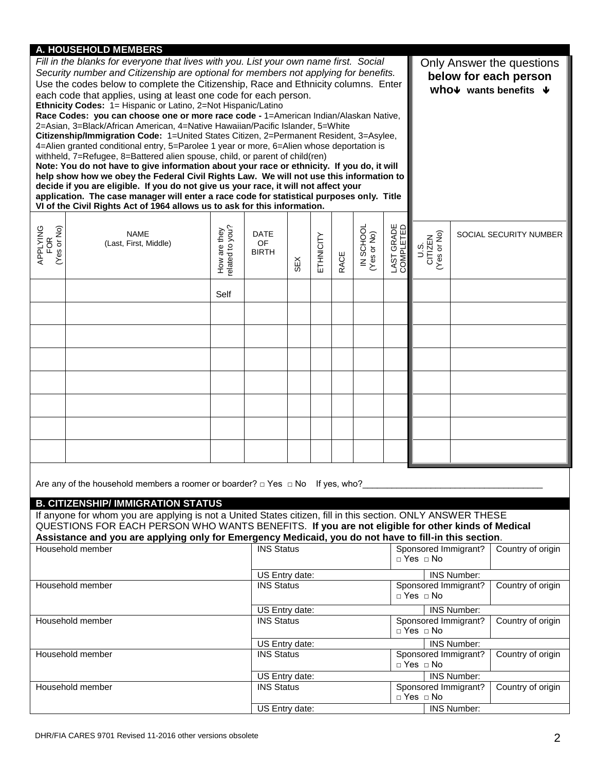### **A. HOUSEHOLD MEMBERS**

|                                | ---------<br>Fill in the blanks for everyone that lives with you. List your own name first. Social<br>Security number and Citizenship are optional for members not applying for benefits.<br>Use the codes below to complete the Citizenship, Race and Ethnicity columns. Enter<br>each code that applies, using at least one code for each person.<br>Ethnicity Codes: 1= Hispanic or Latino, 2=Not Hispanic/Latino<br>Race Codes: you can choose one or more race code - 1=American Indian/Alaskan Native,<br>2=Asian, 3=Black/African American, 4=Native Hawaiian/Pacific Islander, 5=White<br>Citizenship/Immigration Code: 1=United States Citizen, 2=Permanent Resident, 3=Asylee,<br>4=Alien granted conditional entry, 5=Parolee 1 year or more, 6=Alien whose deportation is<br>withheld, 7=Refugee, 8=Battered alien spouse, child, or parent of child(ren)<br>Note: You do not have to give information about your race or ethnicity. If you do, it will<br>help show how we obey the Federal Civil Rights Law. We will not use this information to<br>decide if you are eligible. If you do not give us your race, it will not affect your<br>application. The case manager will enter a race code for statistical purposes only. Title<br>VI of the Civil Rights Act of 1964 allows us to ask for this information. |                                 |                                     | Only Answer the questions<br>below for each person<br>who $\nu$ wants benefits $\nu$ |           |      |                          |                         |                                              |                    |                        |
|--------------------------------|----------------------------------------------------------------------------------------------------------------------------------------------------------------------------------------------------------------------------------------------------------------------------------------------------------------------------------------------------------------------------------------------------------------------------------------------------------------------------------------------------------------------------------------------------------------------------------------------------------------------------------------------------------------------------------------------------------------------------------------------------------------------------------------------------------------------------------------------------------------------------------------------------------------------------------------------------------------------------------------------------------------------------------------------------------------------------------------------------------------------------------------------------------------------------------------------------------------------------------------------------------------------------------------------------------------------------------|---------------------------------|-------------------------------------|--------------------------------------------------------------------------------------|-----------|------|--------------------------|-------------------------|----------------------------------------------|--------------------|------------------------|
| APPLYING<br>FOR<br>(Yes or No) | <b>NAME</b><br>(Last, First, Middle)                                                                                                                                                                                                                                                                                                                                                                                                                                                                                                                                                                                                                                                                                                                                                                                                                                                                                                                                                                                                                                                                                                                                                                                                                                                                                             | How are they<br>related to you? | DATE<br>OF<br><b>BIRTH</b>          | SEX                                                                                  | ETHNICITY | RACE | IN SCHOOL<br>(Yes or No) | LAST GRADE<br>COMPLETED | U.S.<br>CITIZEN<br>(Yes or No)               |                    | SOCIAL SECURITY NUMBER |
|                                |                                                                                                                                                                                                                                                                                                                                                                                                                                                                                                                                                                                                                                                                                                                                                                                                                                                                                                                                                                                                                                                                                                                                                                                                                                                                                                                                  | Self                            |                                     |                                                                                      |           |      |                          |                         |                                              |                    |                        |
|                                |                                                                                                                                                                                                                                                                                                                                                                                                                                                                                                                                                                                                                                                                                                                                                                                                                                                                                                                                                                                                                                                                                                                                                                                                                                                                                                                                  |                                 |                                     |                                                                                      |           |      |                          |                         |                                              |                    |                        |
|                                |                                                                                                                                                                                                                                                                                                                                                                                                                                                                                                                                                                                                                                                                                                                                                                                                                                                                                                                                                                                                                                                                                                                                                                                                                                                                                                                                  |                                 |                                     |                                                                                      |           |      |                          |                         |                                              |                    |                        |
|                                |                                                                                                                                                                                                                                                                                                                                                                                                                                                                                                                                                                                                                                                                                                                                                                                                                                                                                                                                                                                                                                                                                                                                                                                                                                                                                                                                  |                                 |                                     |                                                                                      |           |      |                          |                         |                                              |                    |                        |
|                                |                                                                                                                                                                                                                                                                                                                                                                                                                                                                                                                                                                                                                                                                                                                                                                                                                                                                                                                                                                                                                                                                                                                                                                                                                                                                                                                                  |                                 |                                     |                                                                                      |           |      |                          |                         |                                              |                    |                        |
|                                |                                                                                                                                                                                                                                                                                                                                                                                                                                                                                                                                                                                                                                                                                                                                                                                                                                                                                                                                                                                                                                                                                                                                                                                                                                                                                                                                  |                                 |                                     |                                                                                      |           |      |                          |                         |                                              |                    |                        |
|                                |                                                                                                                                                                                                                                                                                                                                                                                                                                                                                                                                                                                                                                                                                                                                                                                                                                                                                                                                                                                                                                                                                                                                                                                                                                                                                                                                  |                                 |                                     |                                                                                      |           |      |                          |                         |                                              |                    |                        |
|                                |                                                                                                                                                                                                                                                                                                                                                                                                                                                                                                                                                                                                                                                                                                                                                                                                                                                                                                                                                                                                                                                                                                                                                                                                                                                                                                                                  |                                 |                                     |                                                                                      |           |      |                          |                         |                                              |                    |                        |
|                                | Are any of the household members a roomer or boarder? $\Box$ Yes $\Box$ No If yes, who?<br><b>B. CITIZENSHIP/ IMMIGRATION STATUS</b>                                                                                                                                                                                                                                                                                                                                                                                                                                                                                                                                                                                                                                                                                                                                                                                                                                                                                                                                                                                                                                                                                                                                                                                             |                                 |                                     |                                                                                      |           |      |                          |                         |                                              |                    |                        |
|                                | If anyone for whom you are applying is not a United States citizen, fill in this section. ONLY ANSWER THESE<br>QUESTIONS FOR EACH PERSON WHO WANTS BENEFITS. If you are not eligible for other kinds of Medical<br>Assistance and you are applying only for Emergency Medicaid, you do not have to fill-in this section.                                                                                                                                                                                                                                                                                                                                                                                                                                                                                                                                                                                                                                                                                                                                                                                                                                                                                                                                                                                                         |                                 |                                     |                                                                                      |           |      |                          |                         |                                              |                    |                        |
|                                | Household member                                                                                                                                                                                                                                                                                                                                                                                                                                                                                                                                                                                                                                                                                                                                                                                                                                                                                                                                                                                                                                                                                                                                                                                                                                                                                                                 |                                 | <b>INS Status</b>                   |                                                                                      |           |      |                          |                         | Sponsored Immigrant?<br>$\Box$ Yes $\Box$ No |                    | Country of origin      |
| Household member               |                                                                                                                                                                                                                                                                                                                                                                                                                                                                                                                                                                                                                                                                                                                                                                                                                                                                                                                                                                                                                                                                                                                                                                                                                                                                                                                                  |                                 | US Entry date:<br><b>INS Status</b> |                                                                                      |           |      |                          |                         | Sponsored Immigrant?<br>□ Yes □ No           | <b>INS Number:</b> | Country of origin      |
|                                | Household member                                                                                                                                                                                                                                                                                                                                                                                                                                                                                                                                                                                                                                                                                                                                                                                                                                                                                                                                                                                                                                                                                                                                                                                                                                                                                                                 |                                 | US Entry date:<br><b>INS Status</b> |                                                                                      |           |      |                          |                         | Sponsored Immigrant?                         | <b>INS Number:</b> | Country of origin      |
|                                |                                                                                                                                                                                                                                                                                                                                                                                                                                                                                                                                                                                                                                                                                                                                                                                                                                                                                                                                                                                                                                                                                                                                                                                                                                                                                                                                  |                                 | US Entry date:                      |                                                                                      |           |      |                          |                         | □ Yes □ No                                   | <b>INS Number:</b> |                        |
|                                | Household member                                                                                                                                                                                                                                                                                                                                                                                                                                                                                                                                                                                                                                                                                                                                                                                                                                                                                                                                                                                                                                                                                                                                                                                                                                                                                                                 |                                 | <b>INS Status</b>                   |                                                                                      |           |      |                          |                         | Sponsored Immigrant?<br>□ Yes □ No           |                    | Country of origin      |
|                                | Household member                                                                                                                                                                                                                                                                                                                                                                                                                                                                                                                                                                                                                                                                                                                                                                                                                                                                                                                                                                                                                                                                                                                                                                                                                                                                                                                 |                                 | US Entry date:<br><b>INS Status</b> |                                                                                      |           |      |                          |                         | Sponsored Immigrant?                         | <b>INS Number:</b> | Country of origin      |
|                                |                                                                                                                                                                                                                                                                                                                                                                                                                                                                                                                                                                                                                                                                                                                                                                                                                                                                                                                                                                                                                                                                                                                                                                                                                                                                                                                                  |                                 |                                     | US Entry date:                                                                       |           |      |                          |                         | □ Yes □ No<br>INS Number:                    |                    |                        |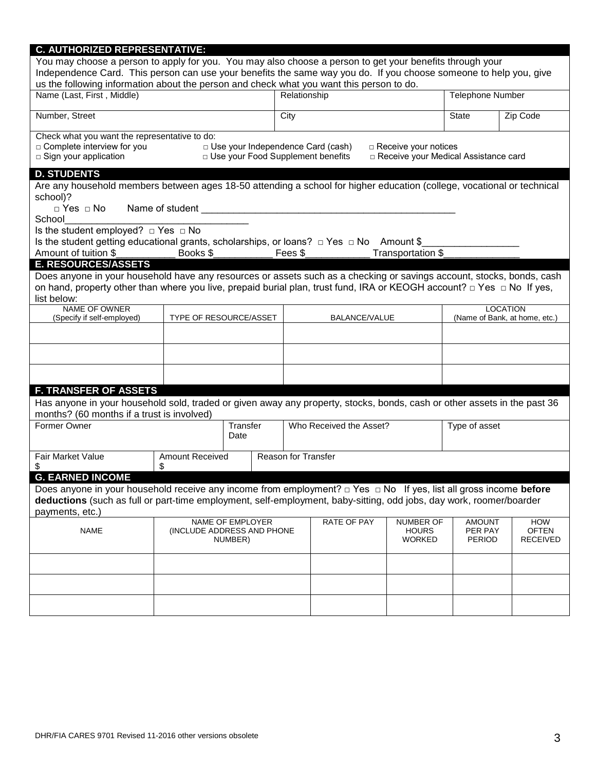| <b>C. AUTHORIZED REPRESENTATIVE:</b>                                                                                                                                                                                                                                                                                      |                        |                                                                                                                                                                                                 |                            |                                          |                             |                                        |                                 |
|---------------------------------------------------------------------------------------------------------------------------------------------------------------------------------------------------------------------------------------------------------------------------------------------------------------------------|------------------------|-------------------------------------------------------------------------------------------------------------------------------------------------------------------------------------------------|----------------------------|------------------------------------------|-----------------------------|----------------------------------------|---------------------------------|
| You may choose a person to apply for you. You may also choose a person to get your benefits through your<br>Independence Card. This person can use your benefits the same way you do. If you choose someone to help you, give<br>us the following information about the person and check what you want this person to do. |                        |                                                                                                                                                                                                 |                            |                                          |                             |                                        |                                 |
| Name (Last, First, Middle)                                                                                                                                                                                                                                                                                                |                        |                                                                                                                                                                                                 |                            | Relationship                             |                             | <b>Telephone Number</b>                |                                 |
| Number, Street                                                                                                                                                                                                                                                                                                            |                        |                                                                                                                                                                                                 | City                       |                                          |                             | <b>State</b>                           | Zip Code                        |
| Check what you want the representative to do:                                                                                                                                                                                                                                                                             |                        |                                                                                                                                                                                                 |                            |                                          |                             |                                        |                                 |
| $\Box$ Complete interview for you                                                                                                                                                                                                                                                                                         |                        |                                                                                                                                                                                                 |                            | $\Box$ Use your Independence Card (cash) | $\Box$ Receive your notices |                                        |                                 |
| $\square$ Sign your application                                                                                                                                                                                                                                                                                           |                        |                                                                                                                                                                                                 |                            | D Use your Food Supplement benefits      |                             | □ Receive your Medical Assistance card |                                 |
| <b>D. STUDENTS</b>                                                                                                                                                                                                                                                                                                        |                        |                                                                                                                                                                                                 |                            |                                          |                             |                                        |                                 |
| Are any household members between ages 18-50 attending a school for higher education (college, vocational or technical<br>school)?                                                                                                                                                                                        |                        |                                                                                                                                                                                                 |                            |                                          |                             |                                        |                                 |
| School                                                                                                                                                                                                                                                                                                                    |                        |                                                                                                                                                                                                 |                            |                                          |                             |                                        |                                 |
| Is the student employed? $\Box$ Yes $\Box$ No                                                                                                                                                                                                                                                                             |                        |                                                                                                                                                                                                 |                            |                                          |                             |                                        |                                 |
| Is the student getting educational grants, scholarships, or loans? $\Box$ Yes $\Box$ No Amount \$                                                                                                                                                                                                                         |                        |                                                                                                                                                                                                 |                            |                                          |                             |                                        |                                 |
| Amount of tuition \$                                                                                                                                                                                                                                                                                                      | Books \$               |                                                                                                                                                                                                 | Fees \$                    |                                          | Transportation \$           |                                        |                                 |
| <b>E. RESOURCES/ASSETS</b>                                                                                                                                                                                                                                                                                                |                        |                                                                                                                                                                                                 |                            |                                          |                             |                                        |                                 |
| Does anyone in your household have any resources or assets such as a checking or savings account, stocks, bonds, cash                                                                                                                                                                                                     |                        |                                                                                                                                                                                                 |                            |                                          |                             |                                        |                                 |
| on hand, property other than where you live, prepaid burial plan, trust fund, IRA or KEOGH account? $\Box$ Yes $\Box$ No If yes,<br>list below:                                                                                                                                                                           |                        |                                                                                                                                                                                                 |                            |                                          |                             |                                        |                                 |
| <b>NAME OF OWNER</b>                                                                                                                                                                                                                                                                                                      |                        |                                                                                                                                                                                                 |                            |                                          |                             |                                        | <b>LOCATION</b>                 |
| (Specify if self-employed)                                                                                                                                                                                                                                                                                                | TYPE OF RESOURCE/ASSET |                                                                                                                                                                                                 |                            | BALANCE/VALUE                            |                             |                                        | (Name of Bank, at home, etc.)   |
|                                                                                                                                                                                                                                                                                                                           |                        |                                                                                                                                                                                                 |                            |                                          |                             |                                        |                                 |
|                                                                                                                                                                                                                                                                                                                           |                        |                                                                                                                                                                                                 |                            |                                          |                             |                                        |                                 |
|                                                                                                                                                                                                                                                                                                                           |                        |                                                                                                                                                                                                 |                            |                                          |                             |                                        |                                 |
| <b>F. TRANSFER OF ASSETS</b>                                                                                                                                                                                                                                                                                              |                        |                                                                                                                                                                                                 |                            |                                          |                             |                                        |                                 |
| Has anyone in your household sold, traded or given away any property, stocks, bonds, cash or other assets in the past 36                                                                                                                                                                                                  |                        |                                                                                                                                                                                                 |                            |                                          |                             |                                        |                                 |
| months? (60 months if a trust is involved)                                                                                                                                                                                                                                                                                |                        |                                                                                                                                                                                                 |                            |                                          |                             |                                        |                                 |
| Former Owner                                                                                                                                                                                                                                                                                                              |                        | Transfer<br>Date                                                                                                                                                                                |                            | Who Received the Asset?                  |                             | Type of asset                          |                                 |
| Fair Market Value<br>\$<br>\$                                                                                                                                                                                                                                                                                             | <b>Amount Received</b> |                                                                                                                                                                                                 | <b>Reason for Transfer</b> |                                          |                             |                                        |                                 |
| <b>G. EARNED INCOME</b>                                                                                                                                                                                                                                                                                                   |                        |                                                                                                                                                                                                 |                            |                                          |                             |                                        |                                 |
| Does anyone in your household receive any income from employment? $\Box$ Yes $\Box$ No If yes, list all gross income before<br>deductions (such as full or part-time employment, self-employment, baby-sitting, odd jobs, day work, roomer/boarder                                                                        |                        |                                                                                                                                                                                                 |                            |                                          |                             |                                        |                                 |
| payments, etc.)                                                                                                                                                                                                                                                                                                           |                        |                                                                                                                                                                                                 |                            |                                          |                             |                                        |                                 |
| <b>NAME</b>                                                                                                                                                                                                                                                                                                               |                        | <b>RATE OF PAY</b><br><b>NUMBER OF</b><br><b>HOW</b><br>NAME OF EMPLOYER<br><b>AMOUNT</b><br>(INCLUDE ADDRESS AND PHONE<br><b>HOURS</b><br>PER PAY<br><b>WORKED</b><br><b>PERIOD</b><br>NUMBER) |                            |                                          |                             |                                        | <b>OFTEN</b><br><b>RECEIVED</b> |
|                                                                                                                                                                                                                                                                                                                           |                        |                                                                                                                                                                                                 |                            |                                          |                             |                                        |                                 |
|                                                                                                                                                                                                                                                                                                                           |                        |                                                                                                                                                                                                 |                            |                                          |                             |                                        |                                 |
|                                                                                                                                                                                                                                                                                                                           |                        |                                                                                                                                                                                                 |                            |                                          |                             |                                        |                                 |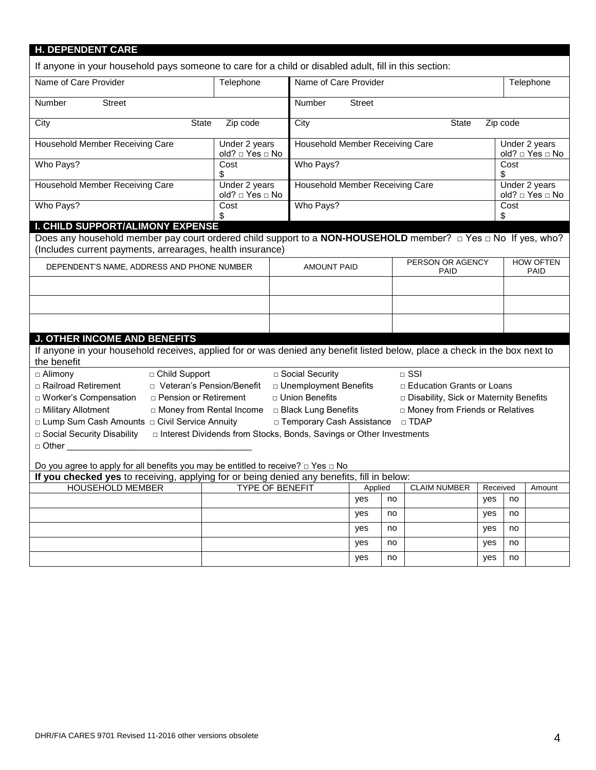| <b>H. DEPENDENT CARE</b>                                                                                                                                                                   |                                                                       |                                 |                                                       |               |    |                                        |     |                                  |                                  |
|--------------------------------------------------------------------------------------------------------------------------------------------------------------------------------------------|-----------------------------------------------------------------------|---------------------------------|-------------------------------------------------------|---------------|----|----------------------------------------|-----|----------------------------------|----------------------------------|
| If anyone in your household pays someone to care for a child or disabled adult, fill in this section:                                                                                      |                                                                       |                                 |                                                       |               |    |                                        |     |                                  |                                  |
| Name of Care Provider                                                                                                                                                                      | Telephone                                                             |                                 | Name of Care Provider                                 |               |    |                                        |     | Telephone                        |                                  |
| Number<br><b>Street</b>                                                                                                                                                                    |                                                                       |                                 | Number                                                | <b>Street</b> |    |                                        |     |                                  |                                  |
| City<br><b>State</b>                                                                                                                                                                       | Zip code                                                              |                                 | City                                                  |               |    | <b>State</b>                           |     | Zip code                         |                                  |
| Household Member Receiving Care                                                                                                                                                            | Under 2 years<br>old? □ Yes □ No                                      | Household Member Receiving Care |                                                       |               |    |                                        |     | Under 2 years<br>old? □ Yes □ No |                                  |
| Who Pays?                                                                                                                                                                                  | Cost<br>\$                                                            |                                 | Who Pays?                                             |               |    |                                        |     | Cost<br>\$                       |                                  |
| Household Member Receiving Care                                                                                                                                                            | Under 2 years<br>old? □ Yes □ No                                      |                                 | Household Member Receiving Care                       |               |    |                                        |     |                                  | Under 2 years<br>old? □ Yes □ No |
| Who Pays?                                                                                                                                                                                  | Cost<br>\$                                                            |                                 | Who Pays?                                             |               |    |                                        |     | Cost<br>\$                       |                                  |
| I. CHILD SUPPORT/ALIMONY EXPENSE                                                                                                                                                           |                                                                       |                                 |                                                       |               |    |                                        |     |                                  |                                  |
| Does any household member pay court ordered child support to a <b>NON-HOUSEHOLD</b> member? $\Box$ Yes $\Box$ No If yes, who?<br>(Includes current payments, arrearages, health insurance) |                                                                       |                                 |                                                       |               |    |                                        |     |                                  |                                  |
| DEPENDENT'S NAME, ADDRESS AND PHONE NUMBER                                                                                                                                                 |                                                                       |                                 | PERSON OR AGENCY<br><b>AMOUNT PAID</b><br><b>PAID</b> |               |    |                                        |     | <b>HOW OFTEN</b><br><b>PAID</b>  |                                  |
|                                                                                                                                                                                            |                                                                       |                                 |                                                       |               |    |                                        |     |                                  |                                  |
|                                                                                                                                                                                            |                                                                       |                                 |                                                       |               |    |                                        |     |                                  |                                  |
|                                                                                                                                                                                            |                                                                       |                                 |                                                       |               |    |                                        |     |                                  |                                  |
| <b>J. OTHER INCOME AND BENEFITS</b>                                                                                                                                                        |                                                                       |                                 |                                                       |               |    |                                        |     |                                  |                                  |
| If anyone in your household receives, applied for or was denied any benefit listed below, place a check in the box next to<br>the benefit                                                  |                                                                       |                                 |                                                       |               |    |                                        |     |                                  |                                  |
| □ Child Support<br>□ Alimony                                                                                                                                                               |                                                                       |                                 | □ Social Security                                     |               |    | $\Box$ SSI                             |     |                                  |                                  |
| □ Railroad Retirement                                                                                                                                                                      | □ Veteran's Pension/Benefit                                           |                                 | □ Unemployment Benefits                               |               |    | □ Education Grants or Loans            |     |                                  |                                  |
| □ Worker's Compensation<br><b>D</b> Pension or Retirement                                                                                                                                  |                                                                       |                                 | □ Union Benefits                                      |               |    | Disability, Sick or Maternity Benefits |     |                                  |                                  |
| □ Military Allotment                                                                                                                                                                       | □ Money from Rental Income                                            |                                 | □ Black Lung Benefits                                 |               |    | D Money from Friends or Relatives      |     |                                  |                                  |
|                                                                                                                                                                                            |                                                                       |                                 |                                                       |               |    |                                        |     |                                  |                                  |
| □ Lump Sum Cash Amounts □ Civil Service Annuity                                                                                                                                            |                                                                       |                                 | □ Temporary Cash Assistance □ TDAP                    |               |    |                                        |     |                                  |                                  |
| □ Social Security Disability                                                                                                                                                               | □ Interest Dividends from Stocks, Bonds, Savings or Other Investments |                                 |                                                       |               |    |                                        |     |                                  |                                  |
|                                                                                                                                                                                            |                                                                       |                                 |                                                       |               |    |                                        |     |                                  |                                  |
|                                                                                                                                                                                            |                                                                       |                                 |                                                       |               |    |                                        |     |                                  |                                  |
| Do you agree to apply for all benefits you may be entitled to receive? $\Box$ Yes $\Box$ No                                                                                                |                                                                       |                                 |                                                       |               |    |                                        |     |                                  |                                  |
| If you checked yes to receiving, applying for or being denied any benefits, fill in below:<br><b>TYPE OF BENEFIT</b><br>Received<br>Applied                                                |                                                                       |                                 |                                                       |               |    |                                        |     |                                  |                                  |
| <b>HOUSEHOLD MEMBER</b>                                                                                                                                                                    |                                                                       |                                 |                                                       | yes           | no | <b>CLAIM NUMBER</b>                    | yes | no                               | Amount                           |
|                                                                                                                                                                                            |                                                                       |                                 |                                                       | yes           | no |                                        | yes | no                               |                                  |
|                                                                                                                                                                                            |                                                                       |                                 |                                                       | yes           | no |                                        | yes | no                               |                                  |
|                                                                                                                                                                                            |                                                                       |                                 |                                                       | yes           | no |                                        | yes | no                               |                                  |

yes no yes no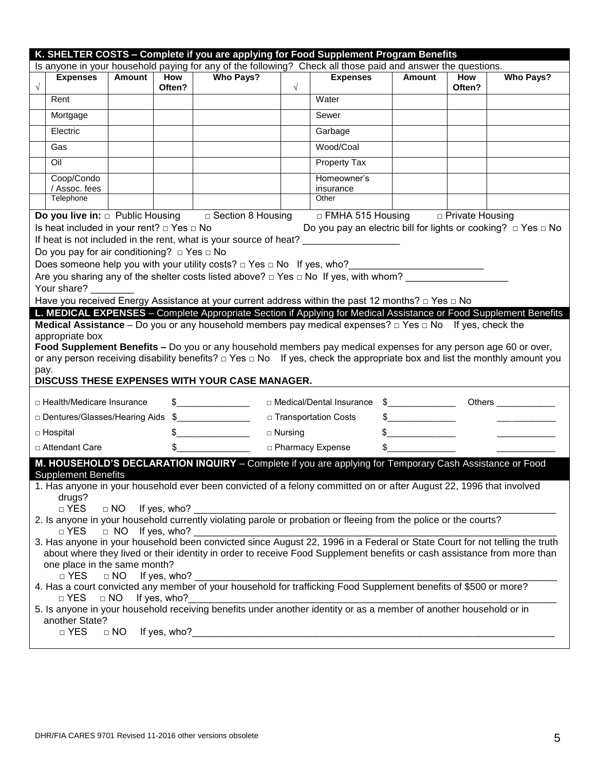| <b>Expenses</b><br>$\sqrt{}$<br>Rent<br>Mortgage                                                                                                                                                                                                                                                                                                                                                                                                                                                                                                                                                                                                                                                                                                                                                                                                                                                                                                                                                    | Amount                                                                     | <b>How</b>                                   | Is anyone in your household paying for any of the following? Check all those paid and answer the questions.<br><b>Who Pays?</b>                                                                                                                                                                                                                                                                                                                                                                                                                                                                                                                                                                                                                                                                                                                                                          |                |                            |                                      |               |                  |
|-----------------------------------------------------------------------------------------------------------------------------------------------------------------------------------------------------------------------------------------------------------------------------------------------------------------------------------------------------------------------------------------------------------------------------------------------------------------------------------------------------------------------------------------------------------------------------------------------------------------------------------------------------------------------------------------------------------------------------------------------------------------------------------------------------------------------------------------------------------------------------------------------------------------------------------------------------------------------------------------------------|----------------------------------------------------------------------------|----------------------------------------------|------------------------------------------------------------------------------------------------------------------------------------------------------------------------------------------------------------------------------------------------------------------------------------------------------------------------------------------------------------------------------------------------------------------------------------------------------------------------------------------------------------------------------------------------------------------------------------------------------------------------------------------------------------------------------------------------------------------------------------------------------------------------------------------------------------------------------------------------------------------------------------------|----------------|----------------------------|--------------------------------------|---------------|------------------|
|                                                                                                                                                                                                                                                                                                                                                                                                                                                                                                                                                                                                                                                                                                                                                                                                                                                                                                                                                                                                     |                                                                            |                                              |                                                                                                                                                                                                                                                                                                                                                                                                                                                                                                                                                                                                                                                                                                                                                                                                                                                                                          |                |                            |                                      |               |                  |
|                                                                                                                                                                                                                                                                                                                                                                                                                                                                                                                                                                                                                                                                                                                                                                                                                                                                                                                                                                                                     |                                                                            | Often?                                       |                                                                                                                                                                                                                                                                                                                                                                                                                                                                                                                                                                                                                                                                                                                                                                                                                                                                                          | $\sqrt{}$      | <b>Expenses</b>            | Amount                               | How<br>Often? | <b>Who Pays?</b> |
|                                                                                                                                                                                                                                                                                                                                                                                                                                                                                                                                                                                                                                                                                                                                                                                                                                                                                                                                                                                                     |                                                                            |                                              |                                                                                                                                                                                                                                                                                                                                                                                                                                                                                                                                                                                                                                                                                                                                                                                                                                                                                          |                | Water                      |                                      |               |                  |
|                                                                                                                                                                                                                                                                                                                                                                                                                                                                                                                                                                                                                                                                                                                                                                                                                                                                                                                                                                                                     |                                                                            |                                              |                                                                                                                                                                                                                                                                                                                                                                                                                                                                                                                                                                                                                                                                                                                                                                                                                                                                                          |                | Sewer                      |                                      |               |                  |
| Electric                                                                                                                                                                                                                                                                                                                                                                                                                                                                                                                                                                                                                                                                                                                                                                                                                                                                                                                                                                                            |                                                                            |                                              |                                                                                                                                                                                                                                                                                                                                                                                                                                                                                                                                                                                                                                                                                                                                                                                                                                                                                          |                | Garbage                    |                                      |               |                  |
| Gas                                                                                                                                                                                                                                                                                                                                                                                                                                                                                                                                                                                                                                                                                                                                                                                                                                                                                                                                                                                                 |                                                                            |                                              |                                                                                                                                                                                                                                                                                                                                                                                                                                                                                                                                                                                                                                                                                                                                                                                                                                                                                          |                | Wood/Coal                  |                                      |               |                  |
| Oil                                                                                                                                                                                                                                                                                                                                                                                                                                                                                                                                                                                                                                                                                                                                                                                                                                                                                                                                                                                                 |                                                                            |                                              |                                                                                                                                                                                                                                                                                                                                                                                                                                                                                                                                                                                                                                                                                                                                                                                                                                                                                          |                | Property Tax               |                                      |               |                  |
| Coop/Condo<br>/ Assoc. fees                                                                                                                                                                                                                                                                                                                                                                                                                                                                                                                                                                                                                                                                                                                                                                                                                                                                                                                                                                         |                                                                            |                                              |                                                                                                                                                                                                                                                                                                                                                                                                                                                                                                                                                                                                                                                                                                                                                                                                                                                                                          |                | Homeowner's<br>insurance   |                                      |               |                  |
| Telephone                                                                                                                                                                                                                                                                                                                                                                                                                                                                                                                                                                                                                                                                                                                                                                                                                                                                                                                                                                                           |                                                                            |                                              |                                                                                                                                                                                                                                                                                                                                                                                                                                                                                                                                                                                                                                                                                                                                                                                                                                                                                          |                | Other                      |                                      |               |                  |
| <b>Do you live in:</b> $\Box$ Public Housing                                                                                                                                                                                                                                                                                                                                                                                                                                                                                                                                                                                                                                                                                                                                                                                                                                                                                                                                                        |                                                                            |                                              | $\sqrt{a}$ Section 8 Housing                                                                                                                                                                                                                                                                                                                                                                                                                                                                                                                                                                                                                                                                                                                                                                                                                                                             |                |                            | □ FMHA 515 Housing □ Private Housing |               |                  |
| If heat is not included in the rent, what is your source of heat? _______________<br>Do you pay for air conditioning? $\Box$ Yes $\Box$ No<br>Does someone help you with your utility costs? $\Box$ Yes $\Box$ No If yes, who?<br>Are you sharing any of the shelter costs listed above? $\Box$ Yes $\Box$ No If yes, with whom?<br>Your share?<br>Have you received Energy Assistance at your current address within the past 12 months? $\Box$ Yes $\Box$ No<br>L. MEDICAL EXPENSES - Complete Appropriate Section if Applying for Medical Assistance or Food Supplement Benefits<br><b>Medical Assistance</b> – Do you or any household members pay medical expenses? $\Box$ Yes $\Box$ No If yes, check the<br>appropriate box<br>Food Supplement Benefits - Do you or any household members pay medical expenses for any person age 60 or over,<br>or any person receiving disability benefits? $\Box$ Yes $\Box$ No If yes, check the appropriate box and list the monthly amount you<br>pay. |                                                                            |                                              |                                                                                                                                                                                                                                                                                                                                                                                                                                                                                                                                                                                                                                                                                                                                                                                                                                                                                          |                |                            |                                      |               |                  |
|                                                                                                                                                                                                                                                                                                                                                                                                                                                                                                                                                                                                                                                                                                                                                                                                                                                                                                                                                                                                     |                                                                            |                                              | DISCUSS THESE EXPENSES WITH YOUR CASE MANAGER.                                                                                                                                                                                                                                                                                                                                                                                                                                                                                                                                                                                                                                                                                                                                                                                                                                           |                |                            |                                      |               |                  |
| □ Health/Medicare Insurance                                                                                                                                                                                                                                                                                                                                                                                                                                                                                                                                                                                                                                                                                                                                                                                                                                                                                                                                                                         |                                                                            |                                              | $\frac{1}{2}$                                                                                                                                                                                                                                                                                                                                                                                                                                                                                                                                                                                                                                                                                                                                                                                                                                                                            |                | □ Medical/Dental Insurance | $\frac{1}{2}$                        |               |                  |
| Dentures/Glasses/Hearing Aids \$                                                                                                                                                                                                                                                                                                                                                                                                                                                                                                                                                                                                                                                                                                                                                                                                                                                                                                                                                                    |                                                                            |                                              |                                                                                                                                                                                                                                                                                                                                                                                                                                                                                                                                                                                                                                                                                                                                                                                                                                                                                          |                | □ Transportation Costs     | $\frac{1}{2}$                        |               |                  |
| □ Hospital                                                                                                                                                                                                                                                                                                                                                                                                                                                                                                                                                                                                                                                                                                                                                                                                                                                                                                                                                                                          |                                                                            |                                              | $\frac{1}{2}$                                                                                                                                                                                                                                                                                                                                                                                                                                                                                                                                                                                                                                                                                                                                                                                                                                                                            | $\Box$ Nursing |                            | <b>Contract Contract</b>             |               |                  |
| □ Attendant Care                                                                                                                                                                                                                                                                                                                                                                                                                                                                                                                                                                                                                                                                                                                                                                                                                                                                                                                                                                                    |                                                                            | \$                                           |                                                                                                                                                                                                                                                                                                                                                                                                                                                                                                                                                                                                                                                                                                                                                                                                                                                                                          |                | □ Pharmacy Expense         | \$                                   |               |                  |
| <b>Supplement Benefits</b><br>drugs?<br>$\Box$ YES<br>$\Box$ YES<br>one place in the same month?<br>$\Box$ YES<br>$\Box$ YES<br>another State?<br>$\Box$ YES                                                                                                                                                                                                                                                                                                                                                                                                                                                                                                                                                                                                                                                                                                                                                                                                                                        | $\Box$ NO<br>$\Box$ NO If yes, who?<br>$\Box$ NO<br>$\Box$ NO<br>$\Box$ NO | If yes, who?<br>If yes, who?<br>If yes, who? | M. HOUSEHOLD'S DECLARATION INQUIRY - Complete if you are applying for Temporary Cash Assistance or Food<br>1. Has anyone in your household ever been convicted of a felony committed on or after August 22, 1996 that involved<br>$\Box$ YES $\Box$ NO If yes, who? $\Box$<br>2. Is anyone in your household currently violating parole or probation or fleeing from the police or the courts?<br>a FES and The Unit yes, who? <u>Conserved Since August 22, 1996</u> in a Federal or State Court for not telling the truth<br>3. Has anyone in your household been convicted since August 22, 1996 in a Federal or State Court for not<br>about where they lived or their identity in order to receive Food Supplement benefits or cash assistance from more than<br>5. Is anyone in your household receiving benefits under another identity or as a member of another household or in |                |                            |                                      |               |                  |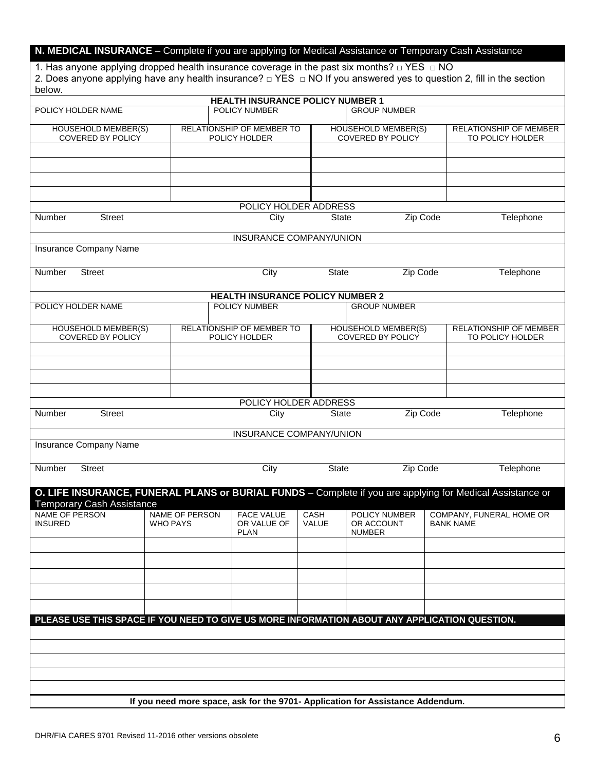### **N. MEDICAL INSURANCE** – Complete if you are applying for Medical Assistance or Temporary Cash Assistance

1. Has anyone applying dropped health insurance coverage in the past six months?  $\Box$  YES  $\Box$  NO 2. Does anyone applying have any health insurance? □ YES □ NO If you answered yes to question 2, fill in the section below.

|                                                                                                           |                                                                                | <b>HEALTH INSURANCE POLICY NUMBER 1</b> |               |                             |                  |                          |
|-----------------------------------------------------------------------------------------------------------|--------------------------------------------------------------------------------|-----------------------------------------|---------------|-----------------------------|------------------|--------------------------|
| POLICY HOLDER NAME                                                                                        |                                                                                | <b>POLICY NUMBER</b>                    |               | <b>GROUP NUMBER</b>         |                  |                          |
|                                                                                                           |                                                                                |                                         |               |                             |                  |                          |
| HOUSEHOLD MEMBER(S)                                                                                       |                                                                                | RELATIONSHIP OF MEMBER TO               |               | HOUSEHOLD MEMBER(S)         |                  | RELATIONSHIP OF MEMBER   |
| <b>COVERED BY POLICY</b>                                                                                  |                                                                                | POLICY HOLDER                           |               | <b>COVERED BY POLICY</b>    |                  | TO POLICY HOLDER         |
|                                                                                                           |                                                                                |                                         |               |                             |                  |                          |
|                                                                                                           |                                                                                |                                         |               |                             |                  |                          |
|                                                                                                           |                                                                                |                                         |               |                             |                  |                          |
|                                                                                                           |                                                                                |                                         |               |                             |                  |                          |
|                                                                                                           |                                                                                |                                         |               |                             |                  |                          |
|                                                                                                           |                                                                                |                                         |               |                             |                  |                          |
|                                                                                                           |                                                                                | POLICY HOLDER ADDRESS                   |               |                             |                  |                          |
| Number<br><b>Street</b>                                                                                   |                                                                                | City                                    | <b>State</b>  | Zip Code                    |                  | Telephone                |
|                                                                                                           |                                                                                |                                         |               |                             |                  |                          |
|                                                                                                           |                                                                                | INSURANCE COMPANY/UNION                 |               |                             |                  |                          |
| Insurance Company Name                                                                                    |                                                                                |                                         |               |                             |                  |                          |
|                                                                                                           |                                                                                |                                         |               |                             |                  |                          |
|                                                                                                           |                                                                                |                                         |               |                             |                  |                          |
| Number<br><b>Street</b>                                                                                   |                                                                                | City                                    | <b>State</b>  | Zip Code                    |                  | Telephone                |
|                                                                                                           |                                                                                |                                         |               |                             |                  |                          |
|                                                                                                           |                                                                                | <b>HEALTH INSURANCE POLICY NUMBER 2</b> |               |                             |                  |                          |
| POLICY HOLDER NAME                                                                                        |                                                                                | POLICY NUMBER                           |               | <b>GROUP NUMBER</b>         |                  |                          |
|                                                                                                           |                                                                                |                                         |               |                             |                  |                          |
| <b>HOUSEHOLD MEMBER(S)</b>                                                                                |                                                                                | RELATIONSHIP OF MEMBER TO               |               | <b>HOUSEHOLD MEMBER(S)</b>  |                  | RELATIONSHIP OF MEMBER   |
| <b>COVERED BY POLICY</b>                                                                                  |                                                                                | POLICY HOLDER                           |               | <b>COVERED BY POLICY</b>    |                  | TO POLICY HOLDER         |
|                                                                                                           |                                                                                |                                         |               |                             |                  |                          |
|                                                                                                           |                                                                                |                                         |               |                             |                  |                          |
|                                                                                                           |                                                                                |                                         |               |                             |                  |                          |
|                                                                                                           |                                                                                |                                         |               |                             |                  |                          |
|                                                                                                           |                                                                                |                                         |               |                             |                  |                          |
|                                                                                                           |                                                                                |                                         |               |                             |                  |                          |
|                                                                                                           |                                                                                | POLICY HOLDER ADDRESS                   |               |                             |                  |                          |
| Number<br><b>Street</b>                                                                                   |                                                                                | City                                    | State         | Zip Code                    |                  | Telephone                |
|                                                                                                           |                                                                                |                                         |               |                             |                  |                          |
|                                                                                                           |                                                                                | <b>INSURANCE COMPANY/UNION</b>          |               |                             |                  |                          |
| Insurance Company Name                                                                                    |                                                                                |                                         |               |                             |                  |                          |
|                                                                                                           |                                                                                |                                         |               |                             |                  |                          |
|                                                                                                           |                                                                                |                                         |               |                             |                  |                          |
| Number<br><b>Street</b>                                                                                   |                                                                                | City                                    | State         | Zip Code                    |                  | Telephone                |
|                                                                                                           |                                                                                |                                         |               |                             |                  |                          |
| O. LIFE INSURANCE, FUNERAL PLANS or BURIAL FUNDS - Complete if you are applying for Medical Assistance or |                                                                                |                                         |               |                             |                  |                          |
| <b>Temporary Cash Assistance</b>                                                                          |                                                                                |                                         |               |                             |                  |                          |
| <b>NAME OF PERSON</b>                                                                                     | <b>NAME OF PERSON</b>                                                          |                                         |               |                             |                  |                          |
| <b>INSURED</b>                                                                                            | <b>WHO PAYS</b>                                                                | <b>FACE VALUE</b><br>OR VALUE OF        | CASH<br>VALUE | POLICY NUMBER<br>OR ACCOUNT | <b>BANK NAME</b> | COMPANY, FUNERAL HOME OR |
|                                                                                                           |                                                                                | <b>PLAN</b>                             |               | <b>NUMBER</b>               |                  |                          |
|                                                                                                           |                                                                                |                                         |               |                             |                  |                          |
|                                                                                                           |                                                                                |                                         |               |                             |                  |                          |
|                                                                                                           |                                                                                |                                         |               |                             |                  |                          |
|                                                                                                           |                                                                                |                                         |               |                             |                  |                          |
|                                                                                                           |                                                                                |                                         |               |                             |                  |                          |
|                                                                                                           |                                                                                |                                         |               |                             |                  |                          |
|                                                                                                           |                                                                                |                                         |               |                             |                  |                          |
|                                                                                                           |                                                                                |                                         |               |                             |                  |                          |
| PLEASE USE THIS SPACE IF YOU NEED TO GIVE US MORE INFORMATION ABOUT ANY APPLICATION QUESTION.             |                                                                                |                                         |               |                             |                  |                          |
|                                                                                                           |                                                                                |                                         |               |                             |                  |                          |
|                                                                                                           |                                                                                |                                         |               |                             |                  |                          |
|                                                                                                           |                                                                                |                                         |               |                             |                  |                          |
|                                                                                                           |                                                                                |                                         |               |                             |                  |                          |
|                                                                                                           |                                                                                |                                         |               |                             |                  |                          |
|                                                                                                           |                                                                                |                                         |               |                             |                  |                          |
|                                                                                                           |                                                                                |                                         |               |                             |                  |                          |
|                                                                                                           |                                                                                |                                         |               |                             |                  |                          |
|                                                                                                           | If you need more space, ask for the 9701- Application for Assistance Addendum. |                                         |               |                             |                  |                          |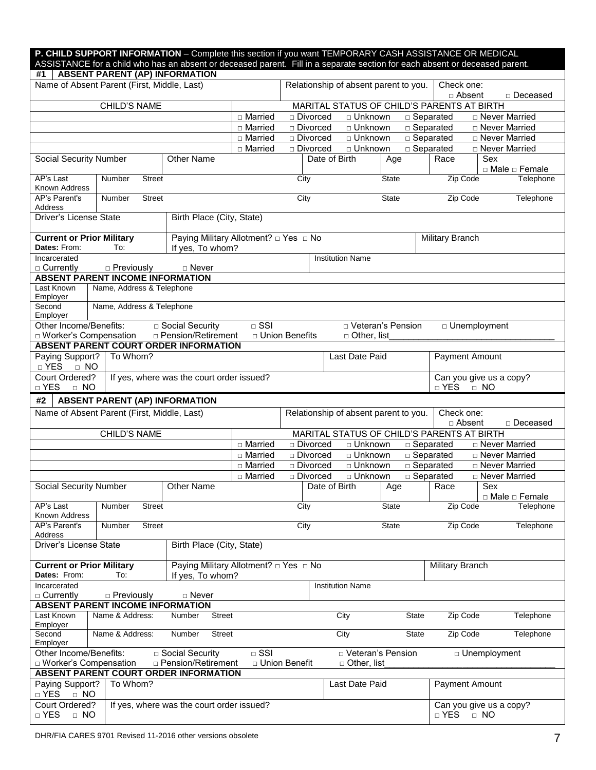| P. CHILD SUPPORT INFORMATION - Complete this section if you want TEMPORARY CASH ASSISTANCE OR MEDICAL<br>ASSISTANCE for a child who has an absent or deceased parent. Fill in a separate section for each absent or deceased parent. |                                                            |                                                           |                           |                  |                         |                    |                                       |                                            |                |                        |
|--------------------------------------------------------------------------------------------------------------------------------------------------------------------------------------------------------------------------------------|------------------------------------------------------------|-----------------------------------------------------------|---------------------------|------------------|-------------------------|--------------------|---------------------------------------|--------------------------------------------|----------------|------------------------|
| #1                                                                                                                                                                                                                                   | <b>ABSENT PARENT (AP) INFORMATION</b>                      |                                                           |                           |                  |                         |                    |                                       |                                            |                |                        |
|                                                                                                                                                                                                                                      | Name of Absent Parent (First, Middle, Last)                |                                                           |                           |                  |                         |                    | Relationship of absent parent to you. | Check one:                                 | □ Absent       | □ Deceased             |
|                                                                                                                                                                                                                                      | <b>CHILD'S NAME</b>                                        |                                                           |                           |                  |                         |                    |                                       | MARITAL STATUS OF CHILD'S PARENTS AT BIRTH |                |                        |
|                                                                                                                                                                                                                                      |                                                            |                                                           | □ Married                 | □ Divorced       |                         | □ Unknown          |                                       | □ Separated                                |                | □ Never Married        |
|                                                                                                                                                                                                                                      |                                                            |                                                           | □ Married                 | □ Divorced       |                         | □ Unknown          |                                       | □ Separated                                |                | □ Never Married        |
|                                                                                                                                                                                                                                      |                                                            |                                                           | □ Married                 | □ Divorced       |                         | $\Box$ Unknown     |                                       | $\Box$ Separated                           |                | □ Never Married        |
|                                                                                                                                                                                                                                      |                                                            |                                                           | $\overline{\Box}$ Married | □ Divorced       |                         | □ Unknown          |                                       | □ Separated                                |                | □ Never Married        |
| <b>Social Security Number</b>                                                                                                                                                                                                        |                                                            | <b>Other Name</b>                                         |                           |                  | Date of Birth           |                    | Age                                   | Race                                       | Sex            | □ Male □ Female        |
| AP's Last<br>Known Address                                                                                                                                                                                                           | Number<br><b>Street</b>                                    |                                                           |                           | City             |                         |                    | <b>State</b>                          |                                            | Zip Code       | Telephone              |
| AP's Parent's<br>Address                                                                                                                                                                                                             | <b>Street</b><br>Number                                    |                                                           |                           | City             |                         |                    | <b>State</b>                          |                                            | Zip Code       | Telephone              |
| Driver's License State                                                                                                                                                                                                               |                                                            | Birth Place (City, State)                                 |                           |                  |                         |                    |                                       |                                            |                |                        |
| <b>Current or Prior Military</b><br>Dates: From:                                                                                                                                                                                     | To:                                                        | Paying Military Allotment? □ Yes □ No<br>If yes, To whom? |                           |                  |                         |                    |                                       | Military Branch                            |                |                        |
| Incarcerated<br>□ Currently                                                                                                                                                                                                          | $\Box$ Previously                                          | □ Never                                                   |                           |                  | <b>Institution Name</b> |                    |                                       |                                            |                |                        |
|                                                                                                                                                                                                                                      | <b>ABSENT PARENT INCOME INFORMATION</b>                    |                                                           |                           |                  |                         |                    |                                       |                                            |                |                        |
| Last Known<br>Employer                                                                                                                                                                                                               | Name, Address & Telephone                                  |                                                           |                           |                  |                         |                    |                                       |                                            |                |                        |
| Second<br>Employer                                                                                                                                                                                                                   | Name, Address & Telephone                                  |                                                           |                           |                  |                         |                    |                                       |                                            |                |                        |
| Other Income/Benefits:                                                                                                                                                                                                               |                                                            | □ Social Security                                         | $\overline{\Box}$ SSI     |                  |                         |                    | D Veteran's Pension                   |                                            | □ Unemployment |                        |
| <b>D</b> Worker's Compensation                                                                                                                                                                                                       | <b>ABSENT PARENT COURT ORDER INFORMATION</b>               | □ Pension/Retirement                                      |                           | □ Union Benefits |                         | □ Other, list      |                                       |                                            |                |                        |
| Paying Support?                                                                                                                                                                                                                      | To Whom?                                                   |                                                           |                           |                  |                         | Last Date Paid     |                                       |                                            | Payment Amount |                        |
| □ YES<br>$\Box$ NO                                                                                                                                                                                                                   |                                                            |                                                           |                           |                  |                         |                    |                                       |                                            |                |                        |
| Court Ordered?<br>Can you give us a copy?<br>If yes, where was the court order issued?<br>□ YES<br>□ YES<br>$\Box$ NO<br>$\Box$ NO                                                                                                   |                                                            |                                                           |                           |                  |                         |                    |                                       |                                            |                |                        |
| #2                                                                                                                                                                                                                                   | <b>ABSENT PARENT (AP) INFORMATION</b>                      |                                                           |                           |                  |                         |                    |                                       |                                            |                |                        |
|                                                                                                                                                                                                                                      | Name of Absent Parent (First, Middle, Last)                |                                                           |                           |                  |                         |                    | Relationship of absent parent to you. | Check one:                                 | □ Absent       | □ Deceased             |
|                                                                                                                                                                                                                                      | <b>CHILD'S NAME</b>                                        |                                                           |                           |                  |                         |                    |                                       | MARITAL STATUS OF CHILD'S PARENTS AT BIRTH |                |                        |
|                                                                                                                                                                                                                                      |                                                            |                                                           | $\overline{\Box}$ Married | □ Divorced       |                         | □ Unknown          |                                       | $\Box$ Separated                           |                | □ Never Married        |
|                                                                                                                                                                                                                                      |                                                            |                                                           | □ Married                 | □ Divorced       |                         | □ Unknown          |                                       | □ Separated                                |                | □ Never Married        |
|                                                                                                                                                                                                                                      |                                                            |                                                           | □ Married                 | □ Divorced       |                         | □ Unknown          |                                       | □ Separated                                |                | □ Never Married        |
|                                                                                                                                                                                                                                      |                                                            |                                                           | □ Married                 | □ Divorced       |                         | □ Unknown          |                                       | □ Separated                                |                | <b>D</b> Never Married |
| <b>Social Security Number</b>                                                                                                                                                                                                        |                                                            | <b>Other Name</b>                                         |                           |                  | Date of Birth           |                    | Age                                   | Race                                       | Sex            | □ Male □ Female        |
| AP's Last<br>Known Address                                                                                                                                                                                                           | Street<br>Number                                           |                                                           |                           | City             |                         |                    | <b>State</b>                          |                                            | Zip Code       | Telephone              |
| AP's Parent's<br>Address                                                                                                                                                                                                             | <b>Street</b><br>Number                                    |                                                           |                           | City             |                         |                    | <b>State</b>                          |                                            | Zip Code       | Telephone              |
| Driver's License State                                                                                                                                                                                                               |                                                            | Birth Place (City, State)                                 |                           |                  |                         |                    |                                       |                                            |                |                        |
| <b>Current or Prior Military</b><br>Dates: From:                                                                                                                                                                                     |                                                            | Paying Military Allotment? □ Yes □ No                     |                           |                  |                         |                    |                                       | Military Branch                            |                |                        |
|                                                                                                                                                                                                                                      |                                                            |                                                           |                           |                  |                         |                    |                                       |                                            |                |                        |
| Incarcerated                                                                                                                                                                                                                         | To:                                                        | If yes, To whom?                                          |                           |                  | <b>Institution Name</b> |                    |                                       |                                            |                |                        |
| $\Box$ Currently                                                                                                                                                                                                                     | □ Previously                                               | □ Never                                                   |                           |                  |                         |                    |                                       |                                            |                |                        |
| Last Known                                                                                                                                                                                                                           | <b>ABSENT PARENT INCOME INFORMATION</b><br>Name & Address: | Number<br><b>Street</b>                                   |                           |                  | City                    |                    | <b>State</b>                          |                                            | Zip Code       | Telephone              |
| Employer<br>Second                                                                                                                                                                                                                   | Name & Address:                                            | Number<br><b>Street</b>                                   |                           |                  | City                    |                    | <b>State</b>                          |                                            | Zip Code       | Telephone              |
| Employer<br>Other Income/Benefits:                                                                                                                                                                                                   |                                                            | □ Social Security                                         | $\Box$ SSI                |                  |                         |                    | D Veteran's Pension                   |                                            | □ Unemployment |                        |
| □ Worker's Compensation                                                                                                                                                                                                              |                                                            | □ Pension/Retirement                                      |                           | □ Union Benefit  |                         | $\Box$ Other, list |                                       |                                            |                |                        |
| Paying Support?<br>$\Box$ YES<br>$\Box$ NO                                                                                                                                                                                           | ABSENT PARENT COURT ORDER INFORMATION<br>To Whom?          |                                                           |                           |                  |                         | Last Date Paid     |                                       |                                            | Payment Amount |                        |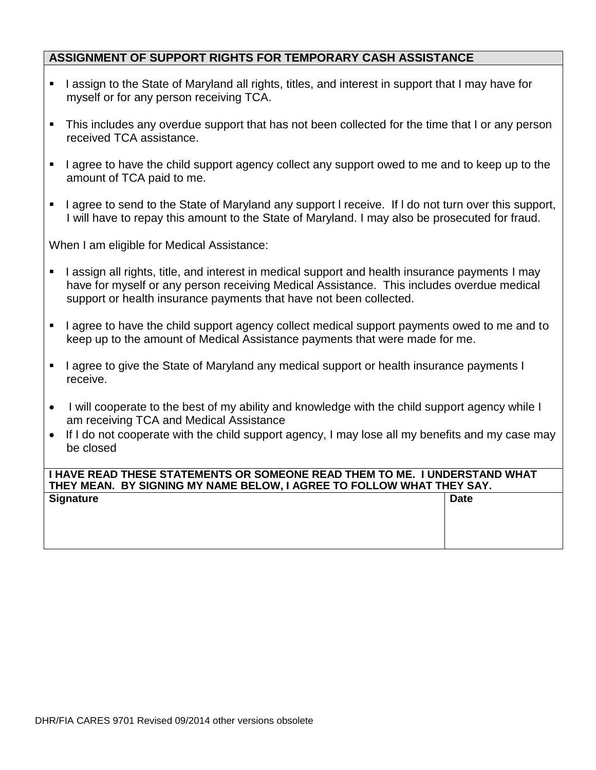#### **ASSIGNMENT OF SUPPORT RIGHTS FOR TEMPORARY CASH ASSISTANCE**

- I assign to the State of Maryland all rights, titles, and interest in support that I may have for myself or for any person receiving TCA.
- This includes any overdue support that has not been collected for the time that I or any person received TCA assistance.
- I agree to have the child support agency collect any support owed to me and to keep up to the amount of TCA paid to me.
- I agree to send to the State of Maryland any support I receive. If I do not turn over this support, I will have to repay this amount to the State of Maryland. I may also be prosecuted for fraud.

When I am eligible for Medical Assistance:

- I assign all rights, title, and interest in medical support and health insurance payments I may have for myself or any person receiving Medical Assistance. This includes overdue medical support or health insurance payments that have not been collected.
- I agree to have the child support agency collect medical support payments owed to me and to keep up to the amount of Medical Assistance payments that were made for me.
- I agree to give the State of Maryland any medical support or health insurance payments I receive.
- I will cooperate to the best of my ability and knowledge with the child support agency while I am receiving TCA and Medical Assistance
- If I do not cooperate with the child support agency, I may lose all my benefits and my case may be closed

#### **I HAVE READ THESE STATEMENTS OR SOMEONE READ THEM TO ME. I UNDERSTAND WHAT THEY MEAN. BY SIGNING MY NAME BELOW, I AGREE TO FOLLOW WHAT THEY SAY. Signature Date**

| <b>Signature</b><br>Dalt |  |
|--------------------------|--|
|                          |  |
|                          |  |
|                          |  |
|                          |  |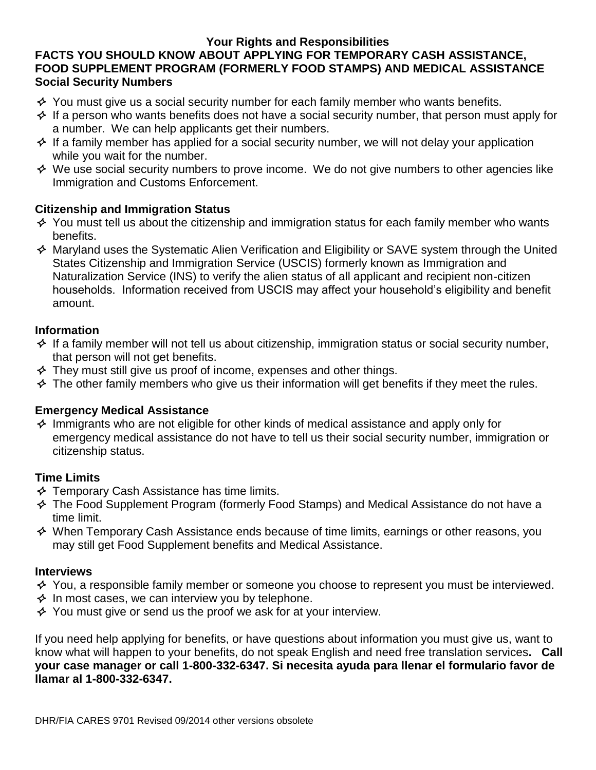#### **Your Rights and Responsibilities**

### **FACTS YOU SHOULD KNOW ABOUT APPLYING FOR TEMPORARY CASH ASSISTANCE, FOOD SUPPLEMENT PROGRAM (FORMERLY FOOD STAMPS) AND MEDICAL ASSISTANCE Social Security Numbers**

- $\triangle$  You must give us a social security number for each family member who wants benefits.
- $\triangle$  If a person who wants benefits does not have a social security number, that person must apply for a number. We can help applicants get their numbers.
- $\leftrightarrow$  If a family member has applied for a social security number, we will not delay your application while you wait for the number.
- $\Diamond$  We use social security numbers to prove income. We do not give numbers to other agencies like Immigration and Customs Enforcement.

### **Citizenship and Immigration Status**

- $\triangle$  You must tell us about the citizenship and immigration status for each family member who wants benefits.
- $\leftrightarrow$  Maryland uses the Systematic Alien Verification and Eligibility or SAVE system through the United States Citizenship and Immigration Service (USCIS) formerly known as Immigration and Naturalization Service (INS) to verify the alien status of all applicant and recipient non-citizen households. Information received from USCIS may affect your household's eligibility and benefit amount.

#### **Information**

- $\triangle$  If a family member will not tell us about citizenship, immigration status or social security number, that person will not get benefits.
- $\triangle$  They must still give us proof of income, expenses and other things.
- $\triangle$  The other family members who give us their information will get benefits if they meet the rules.

### **Emergency Medical Assistance**

 $\triangle$  Immigrants who are not eligible for other kinds of medical assistance and apply only for emergency medical assistance do not have to tell us their social security number, immigration or citizenship status.

### **Time Limits**

- $\triangle$  Temporary Cash Assistance has time limits.
- $\leftrightarrow$  The Food Supplement Program (formerly Food Stamps) and Medical Assistance do not have a time limit.
- $\Diamond$  When Temporary Cash Assistance ends because of time limits, earnings or other reasons, you may still get Food Supplement benefits and Medical Assistance.

### **Interviews**

- $\leftrightarrow$  You, a responsible family member or someone you choose to represent you must be interviewed.
- $\triangle$  In most cases, we can interview you by telephone.
- $\triangle$  You must give or send us the proof we ask for at your interview.

If you need help applying for benefits, or have questions about information you must give us, want to know what will happen to your benefits, do not speak English and need free translation services**. Call your case manager or call 1-800-332-6347. Si necesita ayuda para llenar el formulario favor de llamar al 1-800-332-6347.**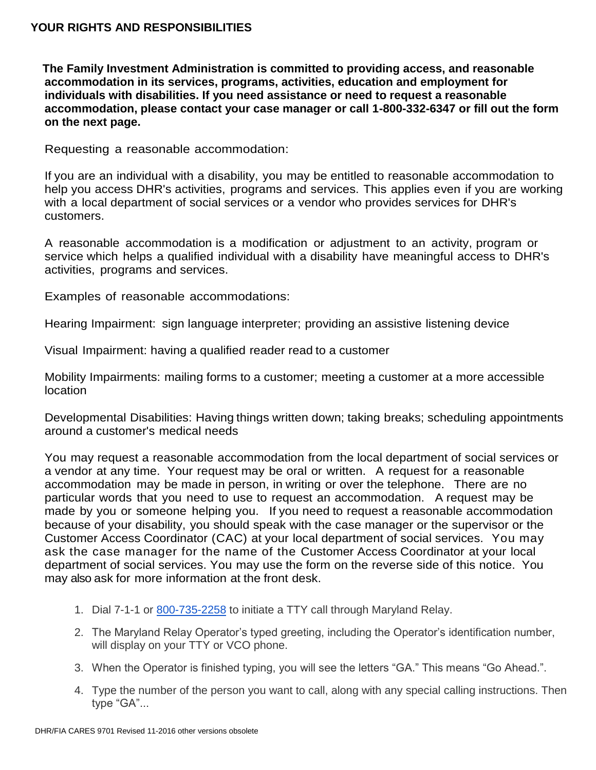**The Family Investment Administration is committed to providing access, and reasonable accommodation in its services, programs, activities, education and employment for individuals with disabilities. If you need assistance or need to request a reasonable accommodation, please contact your case manager or call 1-800-332-6347 or fill out the form on the next page.**

Requesting a reasonable accommodation:

If you are an individual with a disability, you may be entitled to reasonable accommodation to help you access DHR's activities, programs and services. This applies even if you are working with a local department of social services or a vendor who provides services for DHR's customers.

A reasonable accommodation is a modification or adjustment to an activity, program or service which helps a qualified individual with a disability have meaningful access to DHR's activities, programs and services.

Examples of reasonable accommodations:

Hearing Impairment: sign language interpreter; providing an assistive listening device

Visual Impairment: having a qualified reader read to a customer

Mobility Impairments: mailing forms to a customer; meeting a customer at a more accessible location

Developmental Disabilities: Having things written down; taking breaks; scheduling appointments around a customer's medical needs

You may request a reasonable accommodation from the local department of social services or a vendor at any time. Your request may be oral or written. A request for a reasonable accommodation may be made in person, in writing or over the telephone. There are no particular words that you need to use to request an accommodation. A request may be made by you or someone helping you. If you need to request a reasonable accommodation because of your disability, you should speak with the case manager or the supervisor or the Customer Access Coordinator (CAC) at your local department of social services. You may ask the case manager for the name of the Customer Access Coordinator at your local department of social services. You may use the form on the reverse side of this notice. You may also ask for more information at the front desk.

- 1. Dial 7-1-1 or [800-735-2258](tel:800-735-2258) to initiate a TTY call through Maryland Relay.
- 2. The Maryland Relay Operator's typed greeting, including the Operator's identification number, will display on your TTY or VCO phone.
- 3. When the Operator is finished typing, you will see the letters "GA." This means "Go Ahead.".
- 4. Type the number of the person you want to call, along with any special calling instructions. Then type "GA"...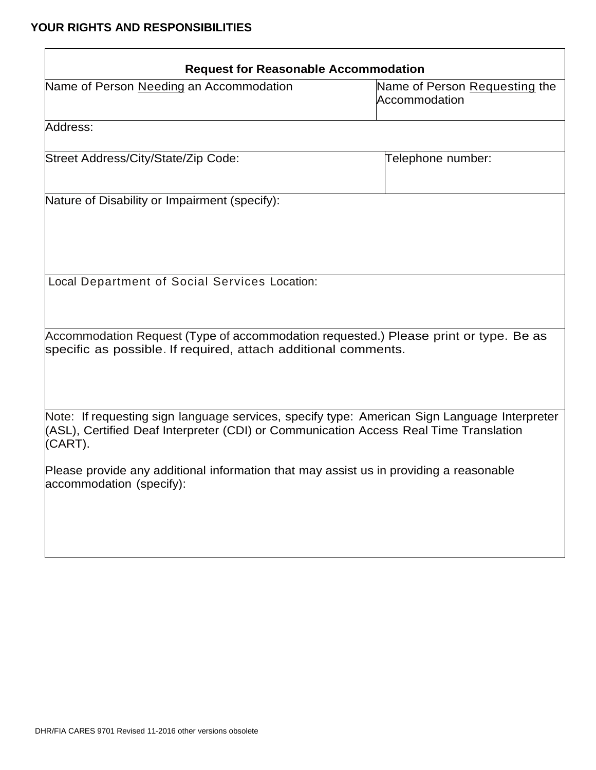| <b>Request for Reasonable Accommodation</b>                                                                                                                                                      |                                                |
|--------------------------------------------------------------------------------------------------------------------------------------------------------------------------------------------------|------------------------------------------------|
| Name of Person Needing an Accommodation                                                                                                                                                          | Name of Person Requesting the<br>Accommodation |
| Address:                                                                                                                                                                                         |                                                |
| Street Address/City/State/Zip Code:                                                                                                                                                              | Telephone number:                              |
| Nature of Disability or Impairment (specify):                                                                                                                                                    |                                                |
| Local Department of Social Services Location:                                                                                                                                                    |                                                |
| Accommodation Request (Type of accommodation requested.) Please print or type. Be as<br>specific as possible. If required, attach additional comments.                                           |                                                |
| Note: If requesting sign language services, specify type: American Sign Language Interpreter<br>(ASL), Certified Deaf Interpreter (CDI) or Communication Access Real Time Translation<br>(CART). |                                                |
| Please provide any additional information that may assist us in providing a reasonable<br>accommodation (specify):                                                                               |                                                |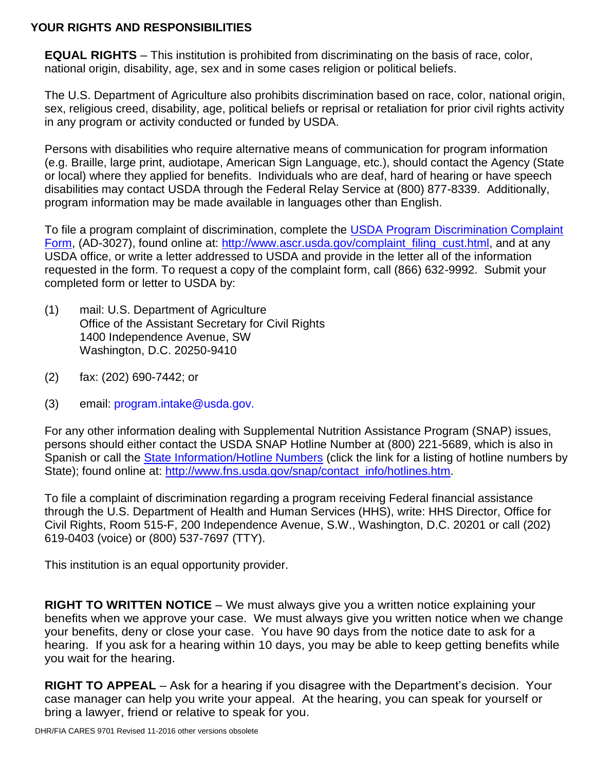**EQUAL RIGHTS** – This institution is prohibited from discriminating on the basis of race, color, national origin, disability, age, sex and in some cases religion or political beliefs.

The U.S. Department of Agriculture also prohibits discrimination based on race, color, national origin, sex, religious creed, disability, age, political beliefs or reprisal or retaliation for prior civil rights activity in any program or activity conducted or funded by USDA.

Persons with disabilities who require alternative means of communication for program information (e.g. Braille, large print, audiotape, American Sign Language, etc.), should contact the Agency (State or local) where they applied for benefits. Individuals who are deaf, hard of hearing or have speech disabilities may contact USDA through the Federal Relay Service at (800) 877-8339. Additionally, program information may be made available in languages other than English.

To file a program complaint of discrimination, complete the [USDA Program Discrimination Complaint](http://www.ocio.usda.gov/sites/default/files/docs/2012/Complain_combined_6_8_12.pdf)  [Form,](http://www.ocio.usda.gov/sites/default/files/docs/2012/Complain_combined_6_8_12.pdf) (AD-3027), found online at: [http://www.ascr.usda.gov/complaint\\_filing\\_cust.html,](http://www.ascr.usda.gov/complaint_filing_cust.html) and at any USDA office, or write a letter addressed to USDA and provide in the letter all of the information requested in the form. To request a copy of the complaint form, call (866) 632-9992. Submit your completed form or letter to USDA by:

- (1) mail: U.S. Department of Agriculture Office of the Assistant Secretary for Civil Rights 1400 Independence Avenue, SW Washington, D.C. 20250-9410
- (2) fax: (202) 690-7442; or
- (3) email: program.intake@usda.gov.

For any other information dealing with Supplemental Nutrition Assistance Program (SNAP) issues, persons should either contact the USDA SNAP Hotline Number at (800) 221-5689, which is also in Spanish or call the [State Information/Hotline Numbers](http://www.fns.usda.gov/snap/contact_info/hotlines.htm) (click the link for a listing of hotline numbers by State); found online at: [http://www.fns.usda.gov/snap/contact\\_info/hotlines.htm.](http://www.fns.usda.gov/snap/contact_info/hotlines.htm)

To file a complaint of discrimination regarding a program receiving Federal financial assistance through the U.S. Department of Health and Human Services (HHS), write: HHS Director, Office for Civil Rights, Room 515-F, 200 Independence Avenue, S.W., Washington, D.C. 20201 or call (202) 619-0403 (voice) or (800) 537-7697 (TTY).

This institution is an equal opportunity provider.

**RIGHT TO WRITTEN NOTICE** – We must always give you a written notice explaining your benefits when we approve your case. We must always give you written notice when we change your benefits, deny or close your case. You have 90 days from the notice date to ask for a hearing. If you ask for a hearing within 10 days, you may be able to keep getting benefits while you wait for the hearing.

**RIGHT TO APPEAL** – Ask for a hearing if you disagree with the Department's decision. Your case manager can help you write your appeal. At the hearing, you can speak for yourself or bring a lawyer, friend or relative to speak for you.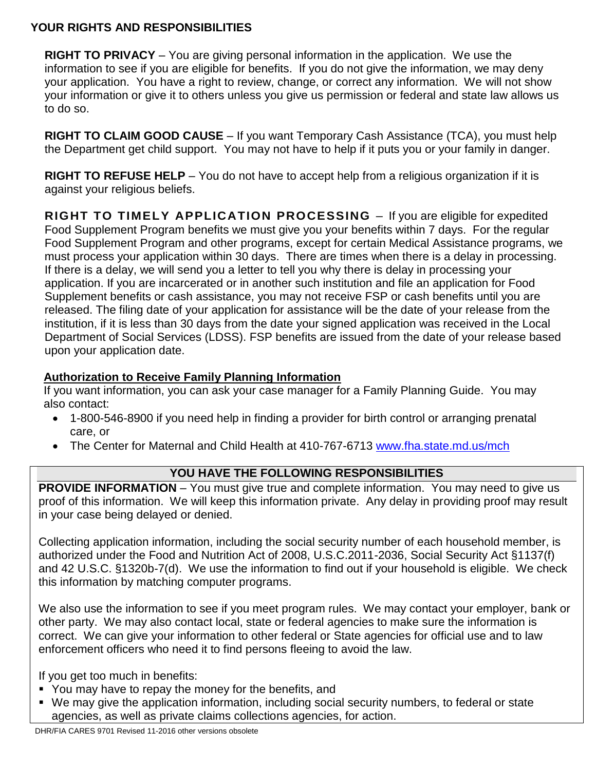**RIGHT TO PRIVACY** – You are giving personal information in the application. We use the information to see if you are eligible for benefits. If you do not give the information, we may deny your application. You have a right to review, change, or correct any information. We will not show your information or give it to others unless you give us permission or federal and state law allows us to do so.

**RIGHT TO CLAIM GOOD CAUSE** – If you want Temporary Cash Assistance (TCA), you must help the Department get child support. You may not have to help if it puts you or your family in danger.

**RIGHT TO REFUSE HELP** – You do not have to accept help from a religious organization if it is against your religious beliefs.

**RIGHT TO TIMELY APPLICATION PROCESSING** – If you are eligible for expedited Food Supplement Program benefits we must give you your benefits within 7 days. For the regular Food Supplement Program and other programs, except for certain Medical Assistance programs, we must process your application within 30 days. There are times when there is a delay in processing. If there is a delay, we will send you a letter to tell you why there is delay in processing your application. If you are incarcerated or in another such institution and file an application for Food Supplement benefits or cash assistance, you may not receive FSP or cash benefits until you are released. The filing date of your application for assistance will be the date of your release from the institution, if it is less than 30 days from the date your signed application was received in the Local Department of Social Services (LDSS). FSP benefits are issued from the date of your release based upon your application date.

### **Authorization to Receive Family Planning Information**

If you want information, you can ask your case manager for a Family Planning Guide. You may also contact:

- 1-800-546-8900 if you need help in finding a provider for birth control or arranging prenatal care, or
- The Center for Maternal and Child Health at 410-767-6713 [www.fha.state.md.us/mch](http://www.fha.state.md.us/mch)

### **YOU HAVE THE FOLLOWING RESPONSIBILITIES**

**PROVIDE INFORMATION** – You must give true and complete information. You may need to give us proof of this information. We will keep this information private. Any delay in providing proof may result in your case being delayed or denied.

Collecting application information, including the social security number of each household member, is authorized under the Food and Nutrition Act of 2008, U.S.C.2011-2036, Social Security Act §1137(f) and 42 U.S.C. §1320b-7(d). We use the information to find out if your household is eligible. We check this information by matching computer programs.

We also use the information to see if you meet program rules. We may contact your employer, bank or other party. We may also contact local, state or federal agencies to make sure the information is correct. We can give your information to other federal or State agencies for official use and to law enforcement officers who need it to find persons fleeing to avoid the law.

If you get too much in benefits:

- You may have to repay the money for the benefits, and
- We may give the application information, including social security numbers, to federal or state agencies, as well as private claims collections agencies, for action.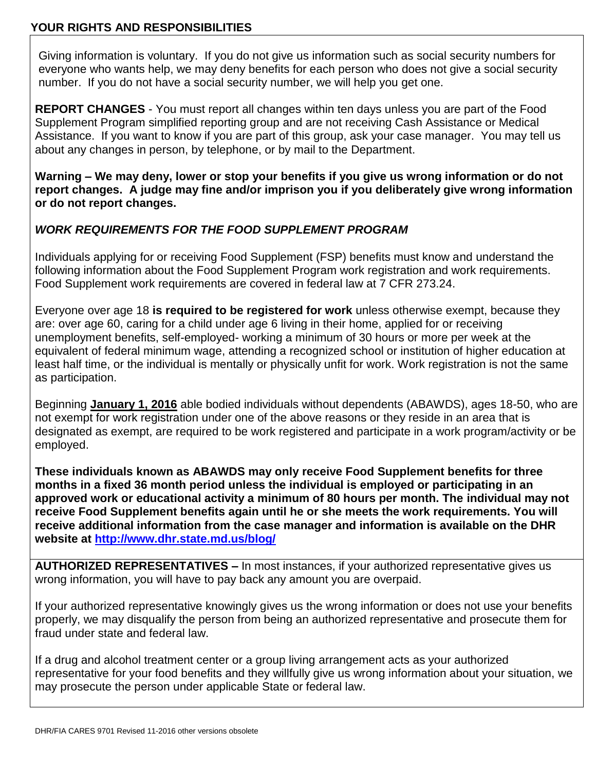Giving information is voluntary. If you do not give us information such as social security numbers for everyone who wants help, we may deny benefits for each person who does not give a social security number. If you do not have a social security number, we will help you get one.

**REPORT CHANGES** - You must report all changes within ten days unless you are part of the Food Supplement Program simplified reporting group and are not receiving Cash Assistance or Medical Assistance. If you want to know if you are part of this group, ask your case manager. You may tell us about any changes in person, by telephone, or by mail to the Department.

**Warning – We may deny, lower or stop your benefits if you give us wrong information or do not report changes. A judge may fine and/or imprison you if you deliberately give wrong information or do not report changes.**

#### *WORK REQUIREMENTS FOR THE FOOD SUPPLEMENT PROGRAM*

Individuals applying for or receiving Food Supplement (FSP) benefits must know and understand the following information about the Food Supplement Program work registration and work requirements. Food Supplement work requirements are covered in federal law at 7 CFR 273.24.

Everyone over age 18 **is required to be registered for work** unless otherwise exempt, because they are: over age 60, caring for a child under age 6 living in their home, applied for or receiving unemployment benefits, self-employed- working a minimum of 30 hours or more per week at the equivalent of federal minimum wage, attending a recognized school or institution of higher education at least half time, or the individual is mentally or physically unfit for work. Work registration is not the same as participation.

Beginning **January 1, 2016** able bodied individuals without dependents (ABAWDS), ages 18-50, who are not exempt for work registration under one of the above reasons or they reside in an area that is designated as exempt, are required to be work registered and participate in a work program/activity or be employed.

**These individuals known as ABAWDS may only receive Food Supplement benefits for three months in a fixed 36 month period unless the individual is employed or participating in an approved work or educational activity a minimum of 80 hours per month. The individual may not receive Food Supplement benefits again until he or she meets the work requirements. You will receive additional information from the case manager and information is available on the DHR website at<http://www.dhr.state.md.us/blog/>**

**AUTHORIZED REPRESENTATIVES –** In most instances, if your authorized representative gives us wrong information, you will have to pay back any amount you are overpaid.

If your authorized representative knowingly gives us the wrong information or does not use your benefits properly, we may disqualify the person from being an authorized representative and prosecute them for fraud under state and federal law.

If a drug and alcohol treatment center or a group living arrangement acts as your authorized representative for your food benefits and they willfully give us wrong information about your situation, we may prosecute the person under applicable State or federal law.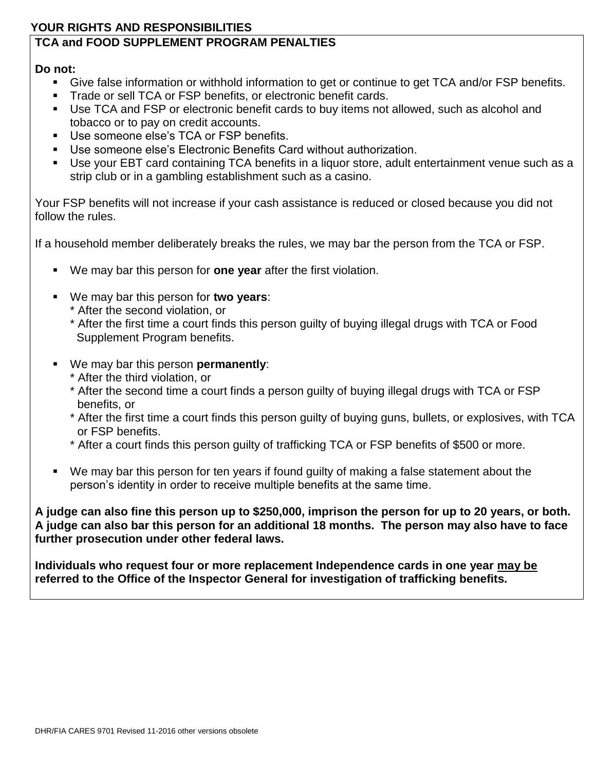## **TCA and FOOD SUPPLEMENT PROGRAM PENALTIES**

### **Do not:**

- Give false information or withhold information to get or continue to get TCA and/or FSP benefits.
- **Trade or sell TCA or FSP benefits, or electronic benefit cards.**
- Use TCA and FSP or electronic benefit cards to buy items not allowed, such as alcohol and tobacco or to pay on credit accounts.
- Use someone else's TCA or FSP benefits.
- Use someone else's Electronic Benefits Card without authorization.
- Use your EBT card containing TCA benefits in a liquor store, adult entertainment venue such as a strip club or in a gambling establishment such as a casino.

Your FSP benefits will not increase if your cash assistance is reduced or closed because you did not follow the rules.

If a household member deliberately breaks the rules, we may bar the person from the TCA or FSP.

- We may bar this person for **one year** after the first violation.
- We may bar this person for **two years**:
	- \* After the second violation, or
	- \* After the first time a court finds this person guilty of buying illegal drugs with TCA or Food Supplement Program benefits.
- We may bar this person **permanently**:
	- \* After the third violation, or
	- \* After the second time a court finds a person guilty of buying illegal drugs with TCA or FSP benefits, or
	- \* After the first time a court finds this person guilty of buying guns, bullets, or explosives, with TCA or FSP benefits.
	- \* After a court finds this person guilty of trafficking TCA or FSP benefits of \$500 or more.
- We may bar this person for ten years if found guilty of making a false statement about the person's identity in order to receive multiple benefits at the same time.

**A judge can also fine this person up to \$250,000, imprison the person for up to 20 years, or both. A judge can also bar this person for an additional 18 months. The person may also have to face further prosecution under other federal laws.**

**Individuals who request four or more replacement Independence cards in one year may be referred to the Office of the Inspector General for investigation of trafficking benefits.**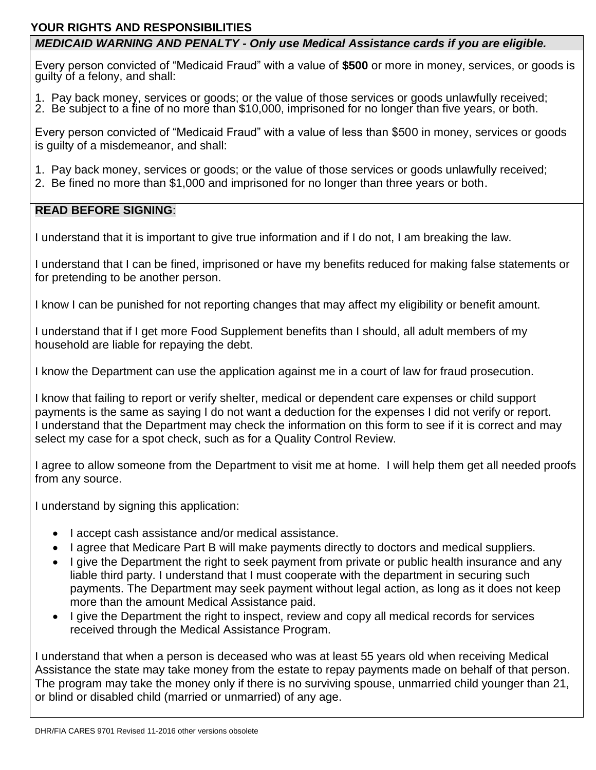### *MEDICAID WARNING AND PENALTY - Only use Medical Assistance cards if you are eligible.*

Every person convicted of "Medicaid Fraud" with a value of **\$500** or more in money, services, or goods is guilty of a felony, and shall:

- 1. Pay back money, services or goods; or the value of those services or goods unlawfully received;
- 2. Be subject to a fine of no more than \$10,000, imprisoned for no longer than five years, or both.

Every person convicted of "Medicaid Fraud" with a value of less than \$500 in money, services or goods is guilty of a misdemeanor, and shall:

- 1. Pay back money, services or goods; or the value of those services or goods unlawfully received;
- 2. Be fined no more than \$1,000 and imprisoned for no longer than three years or both.

### **READ BEFORE SIGNING**:

I understand that it is important to give true information and if I do not, I am breaking the law.

I understand that I can be fined, imprisoned or have my benefits reduced for making false statements or for pretending to be another person.

I know I can be punished for not reporting changes that may affect my eligibility or benefit amount.

I understand that if I get more Food Supplement benefits than I should, all adult members of my household are liable for repaying the debt.

I know the Department can use the application against me in a court of law for fraud prosecution.

I know that failing to report or verify shelter, medical or dependent care expenses or child support payments is the same as saying I do not want a deduction for the expenses I did not verify or report. I understand that the Department may check the information on this form to see if it is correct and may select my case for a spot check, such as for a Quality Control Review.

I agree to allow someone from the Department to visit me at home. I will help them get all needed proofs from any source.

I understand by signing this application:

- I accept cash assistance and/or medical assistance.
- I agree that Medicare Part B will make payments directly to doctors and medical suppliers.
- I give the Department the right to seek payment from private or public health insurance and any liable third party. I understand that I must cooperate with the department in securing such payments. The Department may seek payment without legal action, as long as it does not keep more than the amount Medical Assistance paid.
- I give the Department the right to inspect, review and copy all medical records for services received through the Medical Assistance Program.

I understand that when a person is deceased who was at least 55 years old when receiving Medical Assistance the state may take money from the estate to repay payments made on behalf of that person. The program may take the money only if there is no surviving spouse, unmarried child younger than 21, or blind or disabled child (married or unmarried) of any age.